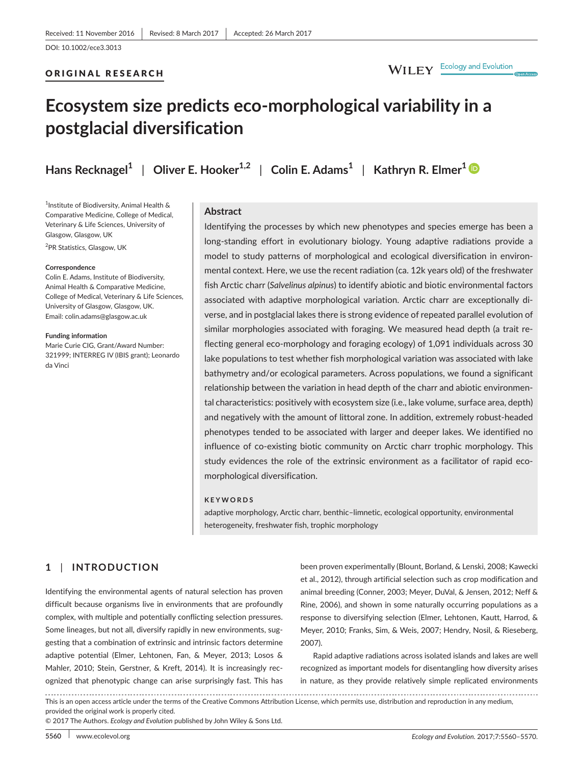## ORIGINAL RESEARCH

## WILEY Ecology and Evolution

# **Ecosystem size predicts eco-morphological variability in a postglacial diversification**

**Hans Recknagel<sup>1</sup>** | **Oliver E. Hooker1,2** | **Colin E. Adams<sup>1</sup>** | **Kathryn R. Elmer<sup>1</sup>**

<sup>1</sup>Institute of Biodiversity, Animal Health & Comparative Medicine, College of Medical, Veterinary & Life Sciences, University of Glasgow, Glasgow, UK

<sup>2</sup>PR Statistics, Glasgow, UK

#### **Correspondence**

Colin E. Adams, Institute of Biodiversity, Animal Health & Comparative Medicine, College of Medical, Veterinary & Life Sciences, University of Glasgow, Glasgow, UK. Email: [colin.adams@glasgow.ac.uk](mailto:colin.adams@glasgow.ac.uk)

#### **Funding information**

Marie Curie CIG, Grant/Award Number: 321999; INTERREG IV (IBIS grant); Leonardo da Vinci

## **Abstract**

Identifying the processes by which new phenotypes and species emerge has been a long-standing effort in evolutionary biology. Young adaptive radiations provide a model to study patterns of morphological and ecological diversification in environmental context. Here, we use the recent radiation (ca. 12k years old) of the freshwater fish Arctic charr (*Salvelinus alpinus*) to identify abiotic and biotic environmental factors associated with adaptive morphological variation. Arctic charr are exceptionally diverse, and in postglacial lakes there is strong evidence of repeated parallel evolution of similar morphologies associated with foraging. We measured head depth (a trait reflecting general eco-morphology and foraging ecology) of 1,091 individuals across 30 lake populations to test whether fish morphological variation was associated with lake bathymetry and/or ecological parameters. Across populations, we found a significant relationship between the variation in head depth of the charr and abiotic environmental characteristics: positively with ecosystem size (i.e., lake volume, surface area, depth) and negatively with the amount of littoral zone. In addition, extremely robust-headed phenotypes tended to be associated with larger and deeper lakes. We identified no influence of co-existing biotic community on Arctic charr trophic morphology. This study evidences the role of the extrinsic environment as a facilitator of rapid ecomorphological diversification.

#### **KEYWORDS**

adaptive morphology, Arctic charr, benthic–limnetic, ecological opportunity, environmental heterogeneity, freshwater fish, trophic morphology

## **1** | **INTRODUCTION**

Identifying the environmental agents of natural selection has proven difficult because organisms live in environments that are profoundly complex, with multiple and potentially conflicting selection pressures. Some lineages, but not all, diversify rapidly in new environments, suggesting that a combination of extrinsic and intrinsic factors determine adaptive potential (Elmer, Lehtonen, Fan, & Meyer, 2013; Losos & Mahler, 2010; Stein, Gerstner, & Kreft, 2014). It is increasingly recognized that phenotypic change can arise surprisingly fast. This has

been proven experimentally (Blount, Borland, & Lenski, 2008; Kawecki et al., 2012), through artificial selection such as crop modification and animal breeding (Conner, 2003; Meyer, DuVal, & Jensen, 2012; Neff & Rine, 2006), and shown in some naturally occurring populations as a response to diversifying selection (Elmer, Lehtonen, Kautt, Harrod, & Meyer, 2010; Franks, Sim, & Weis, 2007; Hendry, Nosil, & Rieseberg, 2007).

Rapid adaptive radiations across isolated islands and lakes are well recognized as important models for disentangling how diversity arises in nature, as they provide relatively simple replicated environments

This is an open access article under the terms of the [Creative Commons Attribution](http://creativecommons.org/licenses/by/4.0/) License, which permits use, distribution and reproduction in any medium, provided the original work is properly cited.

© 2017 The Authors. *Ecology and Evolution* published by John Wiley & Sons Ltd.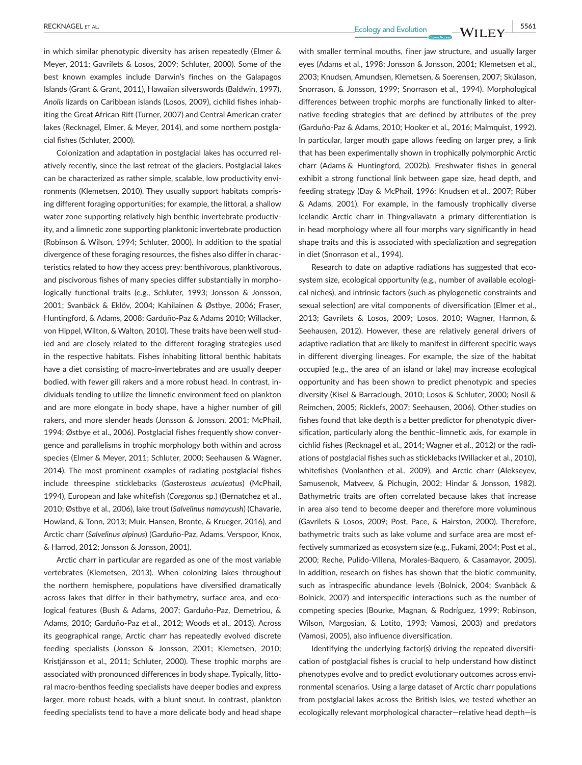RECKNAGEL ET AL. **EXAMPLE 2000** STATE RECKNAGEL ET AL. **EXAMPLE 2000** STATE RECKNAGEL ET AL. **EXAMPLE 2000** 

in which similar phenotypic diversity has arisen repeatedly (Elmer & Meyer, 2011; Gavrilets & Losos, 2009; Schluter, 2000). Some of the best known examples include Darwin's finches on the Galapagos Islands (Grant & Grant, 2011), Hawaiian silverswords (Baldwin, 1997), *Anolis* lizards on Caribbean islands (Losos, 2009), cichlid fishes inhabiting the Great African Rift (Turner, 2007) and Central American crater lakes (Recknagel, Elmer, & Meyer, 2014), and some northern postglacial fishes (Schluter, 2000).

Colonization and adaptation in postglacial lakes has occurred relatively recently, since the last retreat of the glaciers. Postglacial lakes can be characterized as rather simple, scalable, low productivity environments (Klemetsen, 2010). They usually support habitats comprising different foraging opportunities; for example, the littoral, a shallow water zone supporting relatively high benthic invertebrate productivity, and a limnetic zone supporting planktonic invertebrate production (Robinson & Wilson, 1994; Schluter, 2000). In addition to the spatial divergence of these foraging resources, the fishes also differ in characteristics related to how they access prey: benthivorous, planktivorous, and piscivorous fishes of many species differ substantially in morphologically functional traits (e.g., Schluter, 1993; Jonsson & Jonsson, 2001; Svanbäck & Eklöv, 2004; Kahilainen & Østbye, 2006; Fraser, Huntingford, & Adams, 2008; Garduño-Paz & Adams 2010; Willacker, von Hippel, Wilton, & Walton, 2010). These traits have been well studied and are closely related to the different foraging strategies used in the respective habitats. Fishes inhabiting littoral benthic habitats have a diet consisting of macro-invertebrates and are usually deeper bodied, with fewer gill rakers and a more robust head. In contrast, individuals tending to utilize the limnetic environment feed on plankton and are more elongate in body shape, have a higher number of gill rakers, and more slender heads (Jonsson & Jonsson, 2001; McPhail, 1994; Østbye et al., 2006). Postglacial fishes frequently show convergence and parallelisms in trophic morphology both within and across species (Elmer & Meyer, 2011; Schluter, 2000; Seehausen & Wagner, 2014). The most prominent examples of radiating postglacial fishes include threespine sticklebacks (*Gasterosteus aculeatus*) (McPhail, 1994), European and lake whitefish (*Coregonus* sp.) (Bernatchez et al., 2010; Østbye et al., 2006), lake trout (*Salvelinus namaycush*) (Chavarie, Howland, & Tonn, 2013; Muir, Hansen, Bronte, & Krueger, 2016), and Arctic charr (*Salvelinus alpinus*) (Garduño-Paz, Adams, Verspoor, Knox, & Harrod, 2012; Jonsson & Jonsson, 2001).

Arctic charr in particular are regarded as one of the most variable vertebrates (Klemetsen, 2013). When colonizing lakes throughout the northern hemisphere, populations have diversified dramatically across lakes that differ in their bathymetry, surface area, and ecological features (Bush & Adams, 2007; Garduño-Paz, Demetriou, & Adams, 2010; Garduño-Paz et al., 2012; Woods et al., 2013). Across its geographical range, Arctic charr has repeatedly evolved discrete feeding specialists (Jonsson & Jonsson, 2001; Klemetsen, 2010; Kristjánsson et al., 2011; Schluter, 2000). These trophic morphs are associated with pronounced differences in body shape. Typically, littoral macro-benthos feeding specialists have deeper bodies and express larger, more robust heads, with a blunt snout. In contrast, plankton feeding specialists tend to have a more delicate body and head shape with smaller terminal mouths, finer jaw structure, and usually larger eyes (Adams et al., 1998; Jonsson & Jonsson, 2001; Klemetsen et al., 2003; Knudsen, Amundsen, Klemetsen, & Soerensen, 2007; Skúlason, Snorrason, & Jonsson, 1999; Snorrason et al., 1994). Morphological differences between trophic morphs are functionally linked to alternative feeding strategies that are defined by attributes of the prey (Garduño-Paz & Adams, 2010; Hooker et al., 2016; Malmquist, 1992). In particular, larger mouth gape allows feeding on larger prey, a link that has been experimentally shown in trophically polymorphic Arctic charr (Adams & Huntingford, 2002b). Freshwater fishes in general exhibit a strong functional link between gape size, head depth, and feeding strategy (Day & McPhail, 1996; Knudsen et al., 2007; Rüber & Adams, 2001). For example, in the famously trophically diverse Icelandic Arctic charr in Thingvallavatn a primary differentiation is in head morphology where all four morphs vary significantly in head shape traits and this is associated with specialization and segregation in diet (Snorrason et al., 1994).

Research to date on adaptive radiations has suggested that ecosystem size, ecological opportunity (e.g., number of available ecological niches), and intrinsic factors (such as phylogenetic constraints and sexual selection) are vital components of diversification (Elmer et al., 2013; Gavrilets & Losos, 2009; Losos, 2010; Wagner, Harmon, & Seehausen, 2012). However, these are relatively general drivers of adaptive radiation that are likely to manifest in different specific ways in different diverging lineages. For example, the size of the habitat occupied (e.g., the area of an island or lake) may increase ecological opportunity and has been shown to predict phenotypic and species diversity (Kisel & Barraclough, 2010; Losos & Schluter, 2000; Nosil & Reimchen, 2005; Ricklefs, 2007; Seehausen, 2006). Other studies on fishes found that lake depth is a better predictor for phenotypic diversification, particularly along the benthic–limnetic axis, for example in cichlid fishes (Recknagel et al., 2014; Wagner et al., 2012) or the radiations of postglacial fishes such as sticklebacks (Willacker et al., 2010), whitefishes (Vonlanthen et al., 2009), and Arctic charr (Alekseyev, Samusenok, Matveev, & Pichugin, 2002; Hindar & Jonsson, 1982). Bathymetric traits are often correlated because lakes that increase in area also tend to become deeper and therefore more voluminous (Gavrilets & Losos, 2009; Post, Pace, & Hairston, 2000). Therefore, bathymetric traits such as lake volume and surface area are most effectively summarized as ecosystem size (e.g., Fukami, 2004; Post et al., 2000; Reche, Pulido-Villena, Morales-Baquero, & Casamayor, 2005). In addition, research on fishes has shown that the biotic community, such as intraspecific abundance levels (Bolnick, 2004; Svanbäck & Bolnick, 2007) and interspecific interactions such as the number of competing species (Bourke, Magnan, & Rodríguez, 1999; Robinson, Wilson, Margosian, & Lotito, 1993; Vamosi, 2003) and predators (Vamosi, 2005), also influence diversification.

Identifying the underlying factor(s) driving the repeated diversification of postglacial fishes is crucial to help understand how distinct phenotypes evolve and to predict evolutionary outcomes across environmental scenarios. Using a large dataset of Arctic charr populations from postglacial lakes across the British Isles, we tested whether an ecologically relevant morphological character—relative head depth—is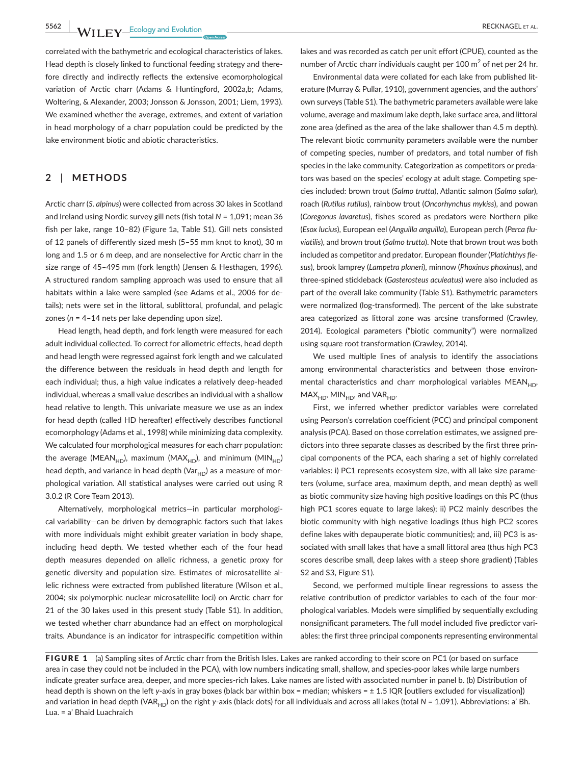**5562 WII FY** Ecology and Evolution **CONSIDER ALL ALL ACCORDING THE RECK ALL ALL ACCORDING THE RECK NAGEL ET AL.** 

correlated with the bathymetric and ecological characteristics of lakes. Head depth is closely linked to functional feeding strategy and therefore directly and indirectly reflects the extensive ecomorphological variation of Arctic charr (Adams & Huntingford, 2002a,b; Adams, Woltering, & Alexander, 2003; Jonsson & Jonsson, 2001; Liem, 1993). We examined whether the average, extremes, and extent of variation in head morphology of a charr population could be predicted by the lake environment biotic and abiotic characteristics.

## **2** | **METHODS**

Arctic charr (*S. alpinus*) were collected from across 30 lakes in Scotland and Ireland using Nordic survey gill nets (fish total *N* = 1,091; mean 36 fish per lake, range 10–82) (Figure 1a, Table S1). Gill nets consisted of 12 panels of differently sized mesh (5–55 mm knot to knot), 30 m long and 1.5 or 6 m deep, and are nonselective for Arctic charr in the size range of 45–495 mm (fork length) (Jensen & Hesthagen, 1996). A structured random sampling approach was used to ensure that all habitats within a lake were sampled (see Adams et al., 2006 for details); nets were set in the littoral, sublittoral, profundal, and pelagic zones (*n* = 4–14 nets per lake depending upon size).

Head length, head depth, and fork length were measured for each adult individual collected. To correct for allometric effects, head depth and head length were regressed against fork length and we calculated the difference between the residuals in head depth and length for each individual; thus, a high value indicates a relatively deep-headed individual, whereas a small value describes an individual with a shallow head relative to length. This univariate measure we use as an index for head depth (called HD hereafter) effectively describes functional ecomorphology (Adams et al., 1998) while minimizing data complexity. We calculated four morphological measures for each charr population: the average (MEAN<sub>HD</sub>), maximum (MAX<sub>HD</sub>), and minimum (MIN<sub>HD</sub>) head depth, and variance in head depth (Var $_{HD}$ ) as a measure of morphological variation. All statistical analyses were carried out using R 3.0.2 (R Core Team 2013).

Alternatively, morphological metrics—in particular morphological variability—can be driven by demographic factors such that lakes with more individuals might exhibit greater variation in body shape, including head depth. We tested whether each of the four head depth measures depended on allelic richness, a genetic proxy for genetic diversity and population size. Estimates of microsatellite allelic richness were extracted from published literature (Wilson et al., 2004; six polymorphic nuclear microsatellite loci) on Arctic charr for 21 of the 30 lakes used in this present study (Table S1). In addition, we tested whether charr abundance had an effect on morphological traits. Abundance is an indicator for intraspecific competition within lakes and was recorded as catch per unit effort (CPUE), counted as the number of Arctic charr individuals caught per 100  $\mathrm{m}^2$  of net per 24 hr.

Environmental data were collated for each lake from published literature (Murray & Pullar, 1910), government agencies, and the authors' own surveys (Table S1). The bathymetric parameters available were lake volume, average and maximum lake depth, lake surface area, and littoral zone area (defined as the area of the lake shallower than 4.5 m depth). The relevant biotic community parameters available were the number of competing species, number of predators, and total number of fish species in the lake community. Categorization as competitors or predators was based on the species' ecology at adult stage. Competing species included: brown trout (*Salmo trutta*), Atlantic salmon (*Salmo salar*), roach (*Rutilus rutilus*), rainbow trout (*Oncorhynchus mykiss*), and powan (*Coregonus lavaretus*), fishes scored as predators were Northern pike (*Esox lucius*), European eel (*Anguilla anguilla*), European perch (*Perca fluviatilis*), and brown trout (*Salmo trutta*). Note that brown trout was both included as competitor and predator. European flounder (*Platichthys flesus*), brook lamprey (*Lampetra planeri*), minnow (*Phoxinus phoxinus*), and three-spined stickleback (*Gasterosteus aculeatus*) were also included as part of the overall lake community (Table S1). Bathymetric parameters were normalized (log-transformed). The percent of the lake substrate area categorized as littoral zone was arcsine transformed (Crawley, 2014). Ecological parameters ("biotic community") were normalized using square root transformation (Crawley, 2014).

We used multiple lines of analysis to identify the associations among environmental characteristics and between those environmental characteristics and charr morphological variables MEAN<sub>HD</sub>,  $MAX_{HD}$ , MIN<sub>HD</sub>, and VAR<sub>HD</sub>.

First, we inferred whether predictor variables were correlated using Pearson's correlation coefficient (PCC) and principal component analysis (PCA). Based on those correlation estimates, we assigned predictors into three separate classes as described by the first three principal components of the PCA, each sharing a set of highly correlated variables: i) PC1 represents ecosystem size, with all lake size parameters (volume, surface area, maximum depth, and mean depth) as well as biotic community size having high positive loadings on this PC (thus high PC1 scores equate to large lakes); ii) PC2 mainly describes the biotic community with high negative loadings (thus high PC2 scores define lakes with depauperate biotic communities); and, iii) PC3 is associated with small lakes that have a small littoral area (thus high PC3 scores describe small, deep lakes with a steep shore gradient) (Tables S2 and S3, Figure S1).

Second, we performed multiple linear regressions to assess the relative contribution of predictor variables to each of the four morphological variables. Models were simplified by sequentially excluding nonsignificant parameters. The full model included five predictor variables: the first three principal components representing environmental

FIGURE 1 (a) Sampling sites of Arctic charr from the British Isles. Lakes are ranked according to their score on PC1 (or based on surface area in case they could not be included in the PCA), with low numbers indicating small, shallow, and species-poor lakes while large numbers indicate greater surface area, deeper, and more species-rich lakes. Lake names are listed with associated number in panel b. (b) Distribution of head depth is shown on the left *y*-axis in gray boxes (black bar within box = median; whiskers = ± 1.5 IQR [outliers excluded for visualization]) and variation in head depth (VAR<sub>HD</sub>) on the right *y*-axis (black dots) for all individuals and across all lakes (total *N* = 1,091). Abbreviations: a' Bh. Lua. = a' Bhaid Luachraich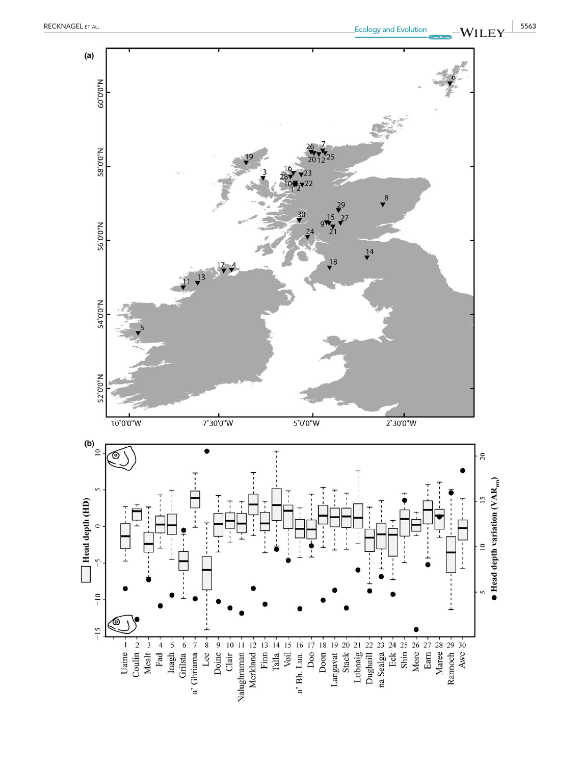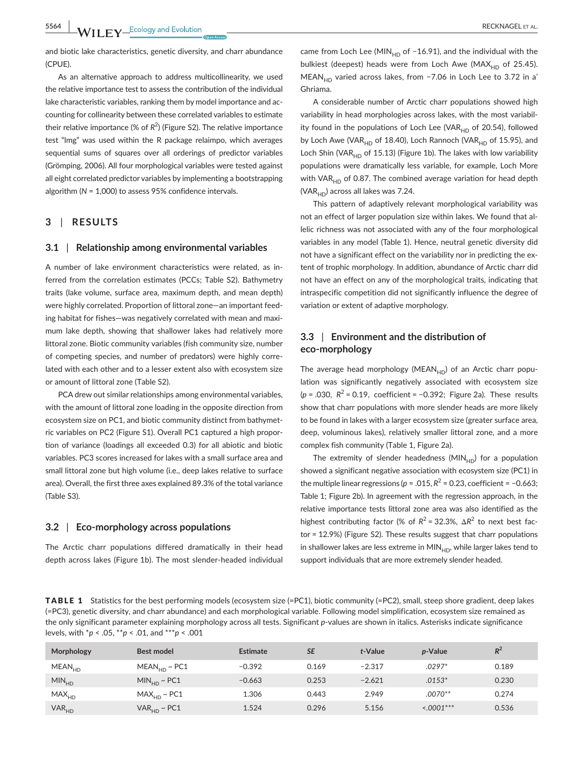**5564 MILEV** Ecology and Evolution **CONSIDERING EXECTAL** 

and biotic lake characteristics, genetic diversity, and charr abundance (CPUE).

As an alternative approach to address multicollinearity, we used the relative importance test to assess the contribution of the individual lake characteristic variables, ranking them by model importance and accounting for collinearity between these correlated variables to estimate their relative importance (% of  $R^2$ ) (Figure S2). The relative importance test "lmg" was used within the R package relaimpo, which averages sequential sums of squares over all orderings of predictor variables (Grömping, 2006). All four morphological variables were tested against all eight correlated predictor variables by implementing a bootstrapping algorithm (*N* = 1,000) to assess 95% confidence intervals.

## **3** | **RESULTS**

#### **3.1** | **Relationship among environmental variables**

A number of lake environment characteristics were related, as inferred from the correlation estimates (PCCs; Table S2). Bathymetry traits (lake volume, surface area, maximum depth, and mean depth) were highly correlated. Proportion of littoral zone—an important feeding habitat for fishes—was negatively correlated with mean and maximum lake depth, showing that shallower lakes had relatively more littoral zone. Biotic community variables (fish community size, number of competing species, and number of predators) were highly correlated with each other and to a lesser extent also with ecosystem size or amount of littoral zone (Table S2).

PCA drew out similar relationships among environmental variables, with the amount of littoral zone loading in the opposite direction from ecosystem size on PC1, and biotic community distinct from bathymetric variables on PC2 (Figure S1). Overall PC1 captured a high proportion of variance (loadings all exceeded 0.3) for all abiotic and biotic variables. PC3 scores increased for lakes with a small surface area and small littoral zone but high volume (i.e., deep lakes relative to surface area). Overall, the first three axes explained 89.3% of the total variance (Table S3).

#### **3.2** | **Eco-morphology across populations**

The Arctic charr populations differed dramatically in their head depth across lakes (Figure 1b). The most slender-headed individual came from Loch Lee (MIN<sub>HD</sub> of −16.91), and the individual with the bulkiest (deepest) heads were from Loch Awe (MAX $_{HD}$  of 25.45). MEAN<sub>HD</sub> varied across lakes, from -7.06 in Loch Lee to 3.72 in a' Ghriama.

A considerable number of Arctic charr populations showed high variability in head morphologies across lakes, with the most variability found in the populations of Loch Lee (VAR $_{HD}$  of 20.54), followed by Loch Awe (VAR $_{HD}$  of 18.40), Loch Rannoch (VAR $_{HD}$  of 15.95), and Loch Shin (VAR $_{HD}$  of 15.13) (Figure 1b). The lakes with low variability populations were dramatically less variable, for example, Loch More with VAR $_{HD}$  of 0.87. The combined average variation for head depth (VAR $_{HD}$ ) across all lakes was 7.24.

This pattern of adaptively relevant morphological variability was not an effect of larger population size within lakes. We found that allelic richness was not associated with any of the four morphological variables in any model (Table 1). Hence, neutral genetic diversity did not have a significant effect on the variability nor in predicting the extent of trophic morphology. In addition, abundance of Arctic charr did not have an effect on any of the morphological traits, indicating that intraspecific competition did not significantly influence the degree of variation or extent of adaptive morphology.

## **3.3** | **Environment and the distribution of eco-morphology**

The average head morphology (MEAN $_{HD}$ ) of an Arctic charr population was significantly negatively associated with ecosystem size (*p* = .030, *R*<sup>2</sup> = 0.19, coefficient = −0.392; Figure 2a). These results show that charr populations with more slender heads are more likely to be found in lakes with a larger ecosystem size (greater surface area, deep, voluminous lakes), relatively smaller littoral zone, and a more complex fish community (Table 1, Figure 2a).

The extremity of slender headedness  $(MIN_{HD})$  for a population showed a significant negative association with ecosystem size (PC1) in the multiple linear regressions ( $p = .015$ ,  $R^2 = 0.23$ , coefficient = -0.663; Table 1; Figure 2b). In agreement with the regression approach, in the relative importance tests littoral zone area was also identified as the highest contributing factor (% of  $R^2 = 32.3$ %,  $\Delta R^2$  to next best factor = 12.9%) (Figure S2). These results suggest that charr populations in shallower lakes are less extreme in  $MIN_{HD}$ , while larger lakes tend to support individuals that are more extremely slender headed.

TABLE 1 Statistics for the best performing models (ecosystem size (=PC1), biotic community (=PC2), small, steep shore gradient, deep lakes (=PC3), genetic diversity, and charr abundance) and each morphological variable. Following model simplification, ecosystem size remained as the only significant parameter explaining morphology across all tests. Significant *p*-values are shown in italics. Asterisks indicate significance levels, with \**p* < .05, \*\**p* < .01, and \*\*\**p* < .001

| Morphology         | <b>Best model</b>    | <b>Estimate</b> | <b>SE</b> | t-Value  | <i>p</i> -Value | $R^2$ |
|--------------------|----------------------|-----------------|-----------|----------|-----------------|-------|
| MEAN <sub>HD</sub> | $MEAN_{HD} \sim PC1$ | $-0.392$        | 0.169     | $-2.317$ | $.0297*$        | 0.189 |
| MIN <sub>HD</sub>  | $MIN_{HD} \sim PC1$  | $-0.663$        | 0.253     | $-2.621$ | $.0153*$        | 0.230 |
| MAX <sub>HD</sub>  | $MAX_{HD}$ ~ PC1     | 1.306           | 0.443     | 2.949    | $.0070**$       | 0.274 |
| VAR <sub>HD</sub>  | $VARHD \sim PC1$     | 1.524           | 0.296     | 5.156    | $< 0.001***$    | 0.536 |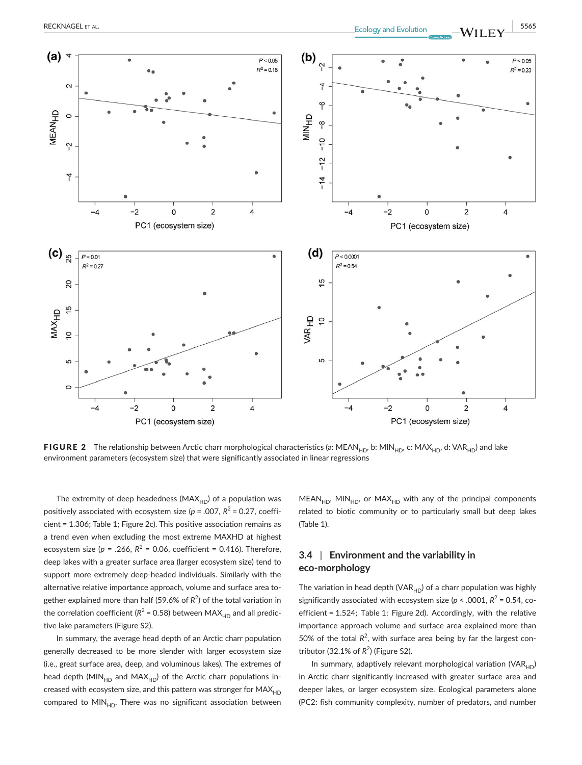

FIGURE 2 The relationship between Arctic charr morphological characteristics (a: MEAN<sub>HD</sub>, b: MIN<sub>HD</sub>, c: MAX<sub>HD</sub>, d: VAR<sub>HD</sub>) and lake environment parameters (ecosystem size) that were significantly associated in linear regressions

The extremity of deep headedness ( $MAX_{HD}$ ) of a population was positively associated with ecosystem size ( $p = .007$ ,  $R^2 = 0.27$ , coefficient = 1.306; Table 1; Figure 2c). This positive association remains as a trend even when excluding the most extreme MAXHD at highest ecosystem size ( $p = .266$ ,  $R^2 = 0.06$ , coefficient = 0.416). Therefore, deep lakes with a greater surface area (larger ecosystem size) tend to support more extremely deep-headed individuals. Similarly with the alternative relative importance approach, volume and surface area together explained more than half (59.6% of *R*<sup>2</sup> ) of the total variation in the correlation coefficient ( $R^2$  = 0.58) between MAX<sub>HD</sub> and all predictive lake parameters (Figure S2).

In summary, the average head depth of an Arctic charr population generally decreased to be more slender with larger ecosystem size (i.e., great surface area, deep, and voluminous lakes). The extremes of head depth (MIN<sub>HD</sub> and MAX<sub>HD</sub>) of the Arctic charr populations increased with ecosystem size, and this pattern was stronger for  $MAX_{HD}$ compared to  $MIN_{HD}$ . There was no significant association between  $MEAN<sub>HD</sub>, MIN<sub>HD</sub>$ , or  $MAX<sub>HD</sub>$  with any of the principal components related to biotic community or to particularly small but deep lakes (Table 1).

## **3.4** | **Environment and the variability in eco-morphology**

The variation in head depth (VAR $_{HD}$ ) of a charr population was highly significantly associated with ecosystem size ( $p < .0001$ ,  $R^2 = 0.54$ , coefficient = 1.524; Table 1; Figure 2d). Accordingly, with the relative importance approach volume and surface area explained more than 50% of the total  $R^2$ , with surface area being by far the largest contributor (32.1% of  $R^2$ ) (Figure S2).

In summary, adaptively relevant morphological variation (VAR $_{HD}$ ) in Arctic charr significantly increased with greater surface area and deeper lakes, or larger ecosystem size. Ecological parameters alone (PC2: fish community complexity, number of predators, and number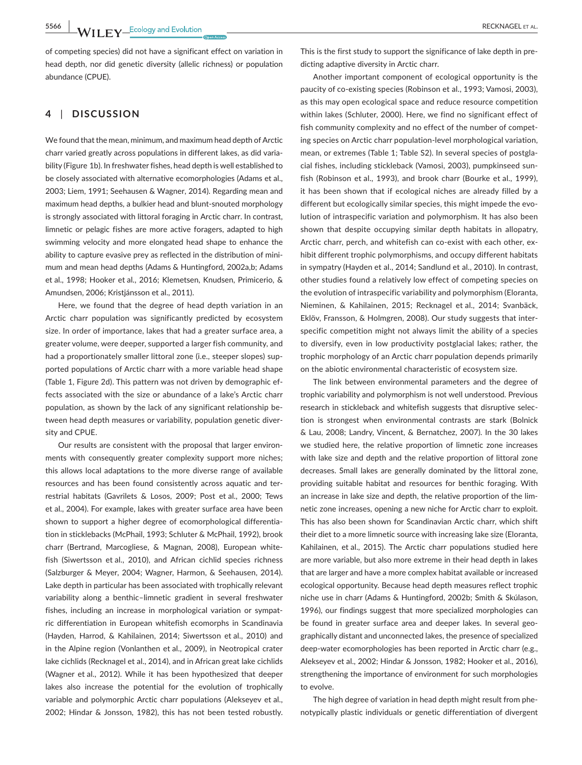**5566 WII FY** Ecology and Evolution **and Experiment Construction** RECKNAGEL ET AL.

of competing species) did not have a significant effect on variation in head depth, nor did genetic diversity (allelic richness) or population abundance (CPUE).

## **4** | **DISCUSSION**

We found that the mean, minimum, and maximum head depth of Arctic charr varied greatly across populations in different lakes, as did variability (Figure 1b). In freshwater fishes, head depth is well established to be closely associated with alternative ecomorphologies (Adams et al., 2003; Liem, 1991; Seehausen & Wagner, 2014). Regarding mean and maximum head depths, a bulkier head and blunt-snouted morphology is strongly associated with littoral foraging in Arctic charr. In contrast, limnetic or pelagic fishes are more active foragers, adapted to high swimming velocity and more elongated head shape to enhance the ability to capture evasive prey as reflected in the distribution of minimum and mean head depths (Adams & Huntingford, 2002a,b; Adams et al., 1998; Hooker et al., 2016; Klemetsen, Knudsen, Primicerio, & Amundsen, 2006; Kristjánsson et al., 2011).

Here, we found that the degree of head depth variation in an Arctic charr population was significantly predicted by ecosystem size. In order of importance, lakes that had a greater surface area, a greater volume, were deeper, supported a larger fish community, and had a proportionately smaller littoral zone (i.e., steeper slopes) supported populations of Arctic charr with a more variable head shape (Table 1, Figure 2d). This pattern was not driven by demographic effects associated with the size or abundance of a lake's Arctic charr population, as shown by the lack of any significant relationship between head depth measures or variability, population genetic diversity and CPUE.

Our results are consistent with the proposal that larger environments with consequently greater complexity support more niches; this allows local adaptations to the more diverse range of available resources and has been found consistently across aquatic and terrestrial habitats (Gavrilets & Losos, 2009; Post et al., 2000; Tews et al., 2004). For example, lakes with greater surface area have been shown to support a higher degree of ecomorphological differentiation in sticklebacks (McPhail, 1993; Schluter & McPhail, 1992), brook charr (Bertrand, Marcogliese, & Magnan, 2008), European whitefish (Siwertsson et al., 2010), and African cichlid species richness (Salzburger & Meyer, 2004; Wagner, Harmon, & Seehausen, 2014). Lake depth in particular has been associated with trophically relevant variability along a benthic–limnetic gradient in several freshwater fishes, including an increase in morphological variation or sympatric differentiation in European whitefish ecomorphs in Scandinavia (Hayden, Harrod, & Kahilainen, 2014; Siwertsson et al., 2010) and in the Alpine region (Vonlanthen et al., 2009), in Neotropical crater lake cichlids (Recknagel et al., 2014), and in African great lake cichlids (Wagner et al., 2012). While it has been hypothesized that deeper lakes also increase the potential for the evolution of trophically variable and polymorphic Arctic charr populations (Alekseyev et al., 2002; Hindar & Jonsson, 1982), this has not been tested robustly.

This is the first study to support the significance of lake depth in predicting adaptive diversity in Arctic charr.

Another important component of ecological opportunity is the paucity of co-existing species (Robinson et al., 1993; Vamosi, 2003), as this may open ecological space and reduce resource competition within lakes (Schluter, 2000). Here, we find no significant effect of fish community complexity and no effect of the number of competing species on Arctic charr population-level morphological variation, mean, or extremes (Table 1; Table S2). In several species of postglacial fishes, including stickleback (Vamosi, 2003), pumpkinseed sunfish (Robinson et al., 1993), and brook charr (Bourke et al., 1999). it has been shown that if ecological niches are already filled by a different but ecologically similar species, this might impede the evolution of intraspecific variation and polymorphism. It has also been shown that despite occupying similar depth habitats in allopatry, Arctic charr, perch, and whitefish can co-exist with each other, exhibit different trophic polymorphisms, and occupy different habitats in sympatry (Hayden et al., 2014; Sandlund et al., 2010). In contrast, other studies found a relatively low effect of competing species on the evolution of intraspecific variability and polymorphism (Eloranta, Nieminen, & Kahilainen, 2015; Recknagel et al., 2014; Svanbäck, Eklöv, Fransson, & Holmgren, 2008). Our study suggests that interspecific competition might not always limit the ability of a species to diversify, even in low productivity postglacial lakes; rather, the trophic morphology of an Arctic charr population depends primarily on the abiotic environmental characteristic of ecosystem size.

The link between environmental parameters and the degree of trophic variability and polymorphism is not well understood. Previous research in stickleback and whitefish suggests that disruptive selection is strongest when environmental contrasts are stark (Bolnick & Lau, 2008; Landry, Vincent, & Bernatchez, 2007). In the 30 lakes we studied here, the relative proportion of limnetic zone increases with lake size and depth and the relative proportion of littoral zone decreases. Small lakes are generally dominated by the littoral zone, providing suitable habitat and resources for benthic foraging. With an increase in lake size and depth, the relative proportion of the limnetic zone increases, opening a new niche for Arctic charr to exploit. This has also been shown for Scandinavian Arctic charr, which shift their diet to a more limnetic source with increasing lake size (Eloranta, Kahilainen, et al., 2015). The Arctic charr populations studied here are more variable, but also more extreme in their head depth in lakes that are larger and have a more complex habitat available or increased ecological opportunity. Because head depth measures reflect trophic niche use in charr (Adams & Huntingford, 2002b; Smith & Skúlason, 1996), our findings suggest that more specialized morphologies can be found in greater surface area and deeper lakes. In several geographically distant and unconnected lakes, the presence of specialized deep-water ecomorphologies has been reported in Arctic charr (e.g., Alekseyev et al., 2002; Hindar & Jonsson, 1982; Hooker et al., 2016), strengthening the importance of environment for such morphologies to evolve.

The high degree of variation in head depth might result from phenotypically plastic individuals or genetic differentiation of divergent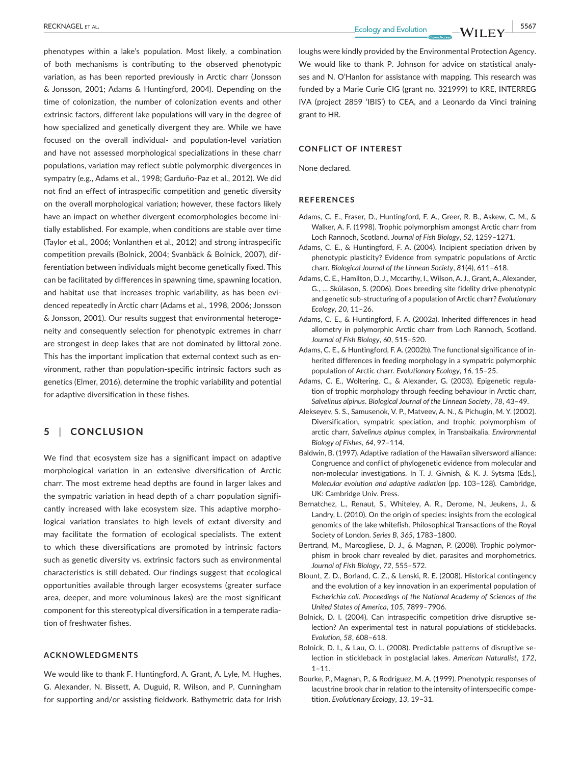**|** RECKNAGEL et al. **5567**

phenotypes within a lake's population. Most likely, a combination of both mechanisms is contributing to the observed phenotypic variation, as has been reported previously in Arctic charr (Jonsson & Jonsson, 2001; Adams & Huntingford, 2004). Depending on the time of colonization, the number of colonization events and other extrinsic factors, different lake populations will vary in the degree of how specialized and genetically divergent they are. While we have focused on the overall individual- and population-level variation and have not assessed morphological specializations in these charr populations, variation may reflect subtle polymorphic divergences in sympatry (e.g., Adams et al., 1998; Garduño-Paz et al., 2012). We did not find an effect of intraspecific competition and genetic diversity on the overall morphological variation; however, these factors likely have an impact on whether divergent ecomorphologies become initially established. For example, when conditions are stable over time (Taylor et al., 2006; Vonlanthen et al., 2012) and strong intraspecific competition prevails (Bolnick, 2004; Svanbäck & Bolnick, 2007), differentiation between individuals might become genetically fixed. This can be facilitated by differences in spawning time, spawning location, and habitat use that increases trophic variability, as has been evidenced repeatedly in Arctic charr (Adams et al., 1998, 2006; Jonsson & Jonsson, 2001). Our results suggest that environmental heterogeneity and consequently selection for phenotypic extremes in charr are strongest in deep lakes that are not dominated by littoral zone. This has the important implication that external context such as environment, rather than population-specific intrinsic factors such as genetics (Elmer, 2016), determine the trophic variability and potential for adaptive diversification in these fishes.

## **5** | **CONCLUSION**

We find that ecosystem size has a significant impact on adaptive morphological variation in an extensive diversification of Arctic charr. The most extreme head depths are found in larger lakes and the sympatric variation in head depth of a charr population significantly increased with lake ecosystem size. This adaptive morphological variation translates to high levels of extant diversity and may facilitate the formation of ecological specialists. The extent to which these diversifications are promoted by intrinsic factors such as genetic diversity vs. extrinsic factors such as environmental characteristics is still debated. Our findings suggest that ecological opportunities available through larger ecosystems (greater surface area, deeper, and more voluminous lakes) are the most significant component for this stereotypical diversification in a temperate radiation of freshwater fishes.

#### **ACKNOWLEDGMENTS**

We would like to thank F. Huntingford, A. Grant, A. Lyle, M. Hughes, G. Alexander, N. Bissett, A. Duguid, R. Wilson, and P. Cunningham for supporting and/or assisting fieldwork. Bathymetric data for Irish loughs were kindly provided by the Environmental Protection Agency. We would like to thank P. Johnson for advice on statistical analyses and N. O'Hanlon for assistance with mapping. This research was funded by a Marie Curie CIG (grant no. 321999) to KRE, INTERREG IVA (project 2859 'IBIS') to CEA, and a Leonardo da Vinci training grant to HR.

#### **CONFLICT OF INTEREST**

None declared.

#### **REFERENCES**

- Adams, C. E., Fraser, D., Huntingford, F. A., Greer, R. B., Askew, C. M., & Walker, A. F. (1998). Trophic polymorphism amongst Arctic charr from Loch Rannoch, Scotland. *Journal of Fish Biology*, *52*, 1259–1271.
- Adams, C. E., & Huntingford, F. A. (2004). Incipient speciation driven by phenotypic plasticity? Evidence from sympatric populations of Arctic charr. *Biological Journal of the Linnean Society*, *81*(4), 611–618.
- Adams, C. E., Hamilton, D. J., Mccarthy, I., Wilson, A. J., Grant, A., Alexander, G., … Skúlason, S. (2006). Does breeding site fidelity drive phenotypic and genetic sub-structuring of a population of Arctic charr? *Evolutionary Ecology*, *20*, 11–26.
- Adams, C. E., & Huntingford, F. A. (2002a). Inherited differences in head allometry in polymorphic Arctic charr from Loch Rannoch, Scotland. *Journal of Fish Biology*, *60*, 515–520.
- Adams, C. E., & Huntingford, F. A. (2002b). The functional significance of inherited differences in feeding morphology in a sympatric polymorphic population of Arctic charr. *Evolutionary Ecology*, *16*, 15–25.
- Adams, C. E., Woltering, C., & Alexander, G. (2003). Epigenetic regulation of trophic morphology through feeding behaviour in Arctic charr, *Salvelinus alpinus*. *Biological Journal of the Linnean Society*, *78*, 43–49.
- Alekseyev, S. S., Samusenok, V. P., Matveev, A. N., & Pichugin, M. Y. (2002). Diversification, sympatric speciation, and trophic polymorphism of arctic charr, *Salvelinus alpinus* complex, in Transbaikalia. *Environmental Biology of Fishes*, *64*, 97–114.
- Baldwin, B. (1997). Adaptive radiation of the Hawaiian silversword alliance: Congruence and conflict of phylogenetic evidence from molecular and non-molecular investigations. In T. J. Givnish, & K. J. Sytsma (Eds.), *Molecular evolution and adaptive radiation* (pp. 103–128). Cambridge, UK: Cambridge Univ. Press.
- Bernatchez, L., Renaut, S., Whiteley, A. R., Derome, N., Jeukens, J., & Landry, L. (2010). On the origin of species: insights from the ecological genomics of the lake whitefish. Philosophical Transactions of the Royal Society of London. *Series B*, *365*, 1783–1800.
- Bertrand, M., Marcogliese, D. J., & Magnan, P. (2008). Trophic polymorphism in brook charr revealed by diet, parasites and morphometrics. *Journal of Fish Biology*, *72*, 555–572.
- Blount, Z. D., Borland, C. Z., & Lenski, R. E. (2008). Historical contingency and the evolution of a key innovation in an experimental population of *Escherichia coli*. *Proceedings of the National Academy of Sciences of the United States of America*, *105*, 7899–7906.
- Bolnick, D. I. (2004). Can intraspecific competition drive disruptive selection? An experimental test in natural populations of sticklebacks. *Evolution*, *58*, 608–618.
- Bolnick, D. I., & Lau, O. L. (2008). Predictable patterns of disruptive selection in stickleback in postglacial lakes. *American Naturalist*, *172*,  $1 - 11$ .
- Bourke, P., Magnan, P., & Rodríguez, M. A. (1999). Phenotypic responses of lacustrine brook char in relation to the intensity of interspecific competition. *Evolutionary Ecology*, *13*, 19–31.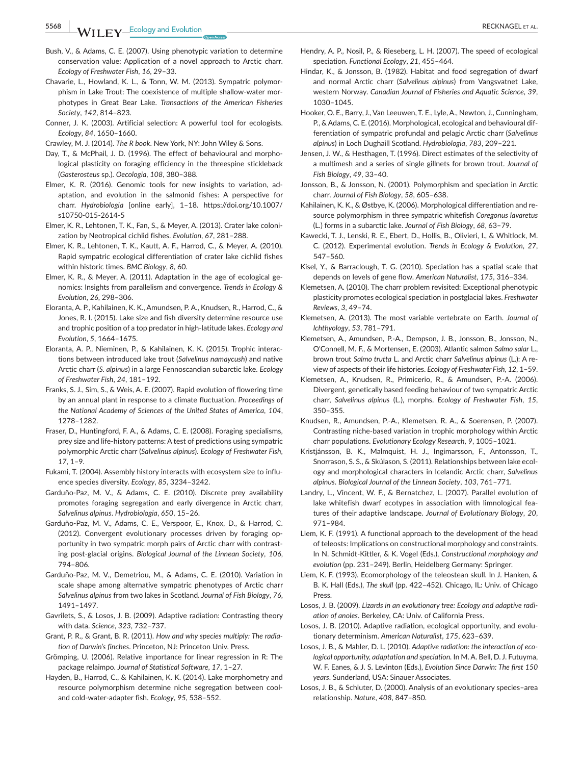- Bush, V., & Adams, C. E. (2007). Using phenotypic variation to determine conservation value: Application of a novel approach to Arctic charr. *Ecology of Freshwater Fish*, *16*, 29–33.
- Chavarie, L., Howland, K. L., & Tonn, W. M. (2013). Sympatric polymorphism in Lake Trout: The coexistence of multiple shallow-water morphotypes in Great Bear Lake. *Transactions of the American Fisheries Society*, *142*, 814–823.
- Conner, J. K. (2003). Artificial selection: A powerful tool for ecologists. *Ecology*, *84*, 1650–1660.
- Crawley, M. J. (2014). *The R book*. New York, NY: John Wiley & Sons.
- Day, T., & McPhail, J. D. (1996). The effect of behavioural and morphological plasticity on foraging efficiency in the threespine stickleback (*Gasterosteus* sp.). *Oecologia*, *108*, 380–388.
- Elmer, K. R. (2016). Genomic tools for new insights to variation, adaptation, and evolution in the salmonid fishes: A perspective for charr. *Hydrobiologia* [online early], 1–18. [https://doi.org/10.1007/](https://doi.org/10.1007/s10750-015-2614-5) [s10750-015-2614-5](https://doi.org/10.1007/s10750-015-2614-5)
- Elmer, K. R., Lehtonen, T. K., Fan, S., & Meyer, A. (2013). Crater lake colonization by Neotropical cichlid fishes. *Evolution*, *67*, 281–288.
- Elmer, K. R., Lehtonen, T. K., Kautt, A. F., Harrod, C., & Meyer, A. (2010). Rapid sympatric ecological differentiation of crater lake cichlid fishes within historic times. *BMC Biology*, *8*, 60.
- Elmer, K. R., & Meyer, A. (2011). Adaptation in the age of ecological genomics: Insights from parallelism and convergence. *Trends in Ecology & Evolution*, *26*, 298–306.
- Eloranta, A. P., Kahilainen, K. K., Amundsen, P. A., Knudsen, R., Harrod, C., & Jones, R. I. (2015). Lake size and fish diversity determine resource use and trophic position of a top predator in high-latitude lakes. *Ecology and Evolution*, *5*, 1664–1675.
- Eloranta, A. P., Nieminen, P., & Kahilainen, K. K. (2015). Trophic interactions between introduced lake trout (*Salvelinus namaycush*) and native Arctic charr (*S. alpinus*) in a large Fennoscandian subarctic lake. *Ecology of Freshwater Fish*, *24*, 181–192.
- Franks, S. J., Sim, S., & Weis, A. E. (2007). Rapid evolution of flowering time by an annual plant in response to a climate fluctuation. *Proceedings of the National Academy of Sciences of the United States of America*, *104*, 1278–1282.
- Fraser, D., Huntingford, F. A., & Adams, C. E. (2008). Foraging specialisms, prey size and life-history patterns: A test of predictions using sympatric polymorphic Arctic charr (*Salvelinus alpinus*). *Ecology of Freshwater Fish*, *17*, 1–9.
- Fukami, T. (2004). Assembly history interacts with ecosystem size to influence species diversity. *Ecology*, *85*, 3234–3242.
- Garduño-Paz, M. V., & Adams, C. E. (2010). Discrete prey availability promotes foraging segregation and early divergence in Arctic charr, *Salvelinus alpinus*. *Hydrobiologia*, *650*, 15–26.
- Garduño-Paz, M. V., Adams, C. E., Verspoor, E., Knox, D., & Harrod, C. (2012). Convergent evolutionary processes driven by foraging opportunity in two sympatric morph pairs of Arctic charr with contrasting post-glacial origins. *Biological Journal of the Linnean Society*, *106*, 794–806.
- Garduño-Paz, M. V., Demetriou, M., & Adams, C. E. (2010). Variation in scale shape among alternative sympatric phenotypes of Arctic charr *Salvelinus alpinus* from two lakes in Scotland. *Journal of Fish Biology*, *76*, 1491–1497.
- Gavrilets, S., & Losos, J. B. (2009). Adaptive radiation: Contrasting theory with data. *Science*, *323*, 732–737.
- Grant, P. R., & Grant, B. R. (2011). *How and why species multiply: The radiation of Darwin's finches*. Princeton, NJ: Princeton Univ. Press.
- Grömping, U. (2006). Relative importance for linear regression in R: The package relaimpo. *Journal of Statistical Software*, *17*, 1–27.
- Hayden, B., Harrod, C., & Kahilainen, K. K. (2014). Lake morphometry and resource polymorphism determine niche segregation between cooland cold-water-adapter fish. *Ecology*, *95*, 538–552.
- Hendry, A. P., Nosil, P., & Rieseberg, L. H. (2007). The speed of ecological speciation. *Functional Ecology*, *21*, 455–464.
- Hindar, K., & Jonsson, B. (1982). Habitat and food segregation of dwarf and normal Arctic charr (*Salvelinus alpinus*) from Vangsvatnet Lake, western Norway. *Canadian Journal of Fisheries and Aquatic Science*, *39*, 1030–1045.
- Hooker, O. E., Barry, J., Van Leeuwen, T. E., Lyle, A., Newton, J., Cunningham, P., & Adams, C. E. (2016). Morphological, ecological and behavioural differentiation of sympatric profundal and pelagic Arctic charr (*Salvelinus alpinus*) in Loch Dughaill Scotland. *Hydrobiologia*, *783*, 209–221.
- Jensen, J. W., & Hesthagen, T. (1996). Direct estimates of the selectivity of a multimesh and a series of single gillnets for brown trout. *Journal of Fish Biology*, *49*, 33–40.
- Jonsson, B., & Jonsson, N. (2001). Polymorphism and speciation in Arctic charr. *Journal of Fish Biology*, *58*, 605–638.
- Kahilainen, K. K., & Østbye, K. (2006). Morphological differentiation and resource polymorphism in three sympatric whitefish *Coregonus lavaretus* (L.) forms in a subarctic lake. *Journal of Fish Biology*, *68*, 63–79.
- Kawecki, T. J., Lenski, R. E., Ebert, D., Hollis, B., Olivieri, I., & Whitlock, M. C. (2012). Experimental evolution. *Trends in Ecology & Evolution*, *27*, 547–560.
- Kisel, Y., & Barraclough, T. G. (2010). Speciation has a spatial scale that depends on levels of gene flow. *American Naturalist*, *175*, 316–334.
- Klemetsen, A. (2010). The charr problem revisited: Exceptional phenotypic plasticity promotes ecological speciation in postglacial lakes. *Freshwater Reviews*, *3*, 49–74.
- Klemetsen, A. (2013). The most variable vertebrate on Earth. *Journal of Ichthyology*, *53*, 781–791.
- Klemetsen, A., Amundsen, P.-A., Dempson, J. B., Jonsson, B., Jonsson, N., O'Connell, M. F., & Mortensen, E. (2003). Atlantic salmon *Salmo salar* L., brown trout *Salmo trutta* L. and Arctic charr *Salvelinus alpinus* (L.): A review of aspects of their life histories. *Ecology of Freshwater Fish*, *12*, 1–59.
- Klemetsen, A., Knudsen, R., Primicerio, R., & Amundsen, P.-A. (2006). Divergent, genetically based feeding behaviour of two sympatric Arctic charr, *Salvelinus alpinus* (L.), morphs. *Ecology of Freshwater Fish*, *15*, 350–355.
- Knudsen, R., Amundsen, P.-A., Klemetsen, R. A., & Soerensen, P. (2007). Contrasting niche-based variation in trophic morphology within Arctic charr populations. *Evolutionary Ecology Research*, *9*, 1005–1021.
- Kristjánsson, B. K., Malmquist, H. J., Ingimarsson, F., Antonsson, T., Snorrason, S. S., & Skúlason, S. (2011). Relationships between lake ecology and morphological characters in Icelandic Arctic charr, *Salvelinus alpinus*. *Biological Journal of the Linnean Society*, *103*, 761–771.
- Landry, L., Vincent, W. F., & Bernatchez, L. (2007). Parallel evolution of lake whitefish dwarf ecotypes in association with limnological features of their adaptive landscape. *Journal of Evolutionary Biology*, *20*, 971–984.
- Liem, K. F. (1991). A functional approach to the development of the head of teleosts: Implications on constructional morphology and constraints. In N. Schmidt-Kittler, & K. Vogel (Eds.), *Constructional morphology and evolution* (pp. 231–249). Berlin, Heidelberg Germany: Springer.
- Liem, K. F. (1993). Ecomorphology of the teleostean skull. In J. Hanken, & B. K. Hall (Eds.), *The skull* (pp. 422–452). Chicago, IL: Univ. of Chicago **Press**
- Losos, J. B. (2009). *Lizards in an evolutionary tree: Ecology and adaptive radiation of anoles*. Berkeley, CA: Univ. of California Press.
- Losos, J. B. (2010). Adaptive radiation, ecological opportunity, and evolutionary determinism. *American Naturalist*, *175*, 623–639.
- Losos, J. B., & Mahler, D. L. (2010). *Adaptive radiation: the interaction of ecological opportunity, adaptation and speciation.* In M. A. Bell, D. J. Futuyma, W. F. Eanes, & J. S. Levinton (Eds.), *Evolution Since Darwin: The first 150 years*. Sunderland, USA: Sinauer Associates.
- Losos, J. B., & Schluter, D. (2000). Analysis of an evolutionary species–area relationship. *Nature*, *408*, 847–850.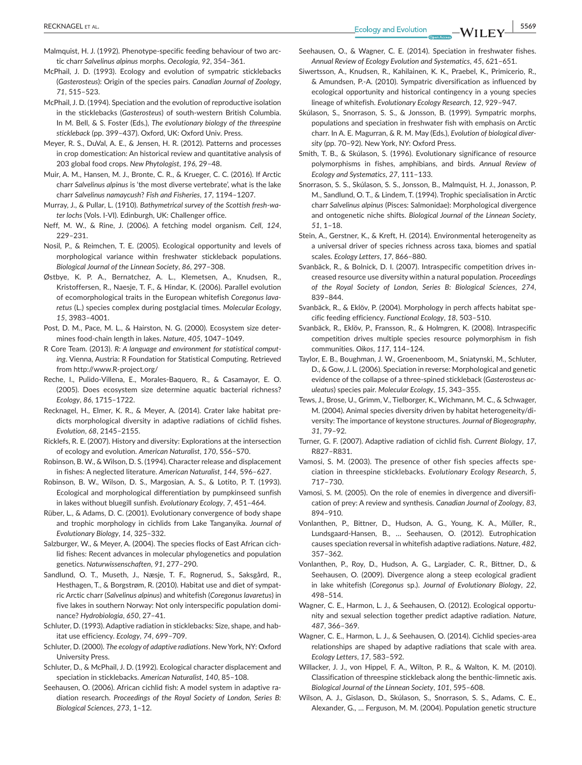- Malmquist, H. J. (1992). Phenotype-specific feeding behaviour of two arctic charr *Salvelinus alpinus* morphs. *Oecologia*, *92*, 354–361.
- McPhail, J. D. (1993). Ecology and evolution of sympatric sticklebacks (*Gasterosteus*): Origin of the species pairs. *Canadian Journal of Zoology*, *71*, 515–523.
- McPhail, J. D. (1994). Speciation and the evolution of reproductive isolation in the sticklebacks (*Gasterosteus*) of south-western British Columbia. In M. Bell, & S. Foster (Eds.), *The evolutionary biology of the threespine stickleback* (pp. 399–437). Oxford, UK: Oxford Univ. Press.
- Meyer, R. S., DuVal, A. E., & Jensen, H. R. (2012). Patterns and processes in crop domestication: An historical review and quantitative analysis of 203 global food crops. *New Phytologist*, *196*, 29–48.
- Muir, A. M., Hansen, M. J., Bronte, C. R., & Krueger, C. C. (2016). If Arctic charr *Salvelinus alpinus* is 'the most diverse vertebrate', what is the lake charr *Salvelinus namaycush*? *Fish and Fisheries*, *17*, 1194–1207.
- Murray, J., & Pullar, L. (1910). *Bathymetrical survey of the Scottish fresh-water lochs* (Vols. I-VI). Edinburgh, UK: Challenger office.
- Neff, M. W., & Rine, J. (2006). A fetching model organism. *Cell*, *124*, 229–231.
- Nosil, P., & Reimchen, T. E. (2005). Ecological opportunity and levels of morphological variance within freshwater stickleback populations. *Biological Journal of the Linnean Society*, *86*, 297–308.
- Østbye, K. P. A., Bernatchez, A. L., Klemetsen, A., Knudsen, R., Kristoffersen, R., Naesje, T. F., & Hindar, K. (2006). Parallel evolution of ecomorphological traits in the European whitefish *Coregonus lavaretus* (L.) species complex during postglacial times. *Molecular Ecology*, *15*, 3983–4001.
- Post, D. M., Pace, M. L., & Hairston, N. G. (2000). Ecosystem size determines food-chain length in lakes. *Nature*, *405*, 1047–1049.
- R Core Team. (2013). *R: A language and environment for statistical computing*. Vienna, Austria: R Foundation for Statistical Computing. Retrieved from<http://www.R-project.org/>
- Reche, I., Pulido-Villena, E., Morales-Baquero, R., & Casamayor, E. O. (2005). Does ecosystem size determine aquatic bacterial richness? *Ecology*, *86*, 1715–1722.
- Recknagel, H., Elmer, K. R., & Meyer, A. (2014). Crater lake habitat predicts morphological diversity in adaptive radiations of cichlid fishes. *Evolution*, *68*, 2145–2155.
- Ricklefs, R. E. (2007). History and diversity: Explorations at the intersection of ecology and evolution. *American Naturalist*, *170*, S56–S70.
- Robinson, B. W., & Wilson, D. S. (1994). Character release and displacement in fishes: A neglected literature. *American Naturalist*, *144*, 596–627.
- Robinson, B. W., Wilson, D. S., Margosian, A. S., & Lotito, P. T. (1993). Ecological and morphological differentiation by pumpkinseed sunfish in lakes without bluegill sunfish. *Evolutionary Ecology*, *7*, 451–464.
- Rüber, L., & Adams, D. C. (2001). Evolutionary convergence of body shape and trophic morphology in cichlids from Lake Tanganyika. *Journal of Evolutionary Biology*, *14*, 325–332.
- Salzburger, W., & Meyer, A. (2004). The species flocks of East African cichlid fishes: Recent advances in molecular phylogenetics and population genetics. *Naturwissenschaften*, *91*, 277–290.
- Sandlund, O. T., Museth, J., Næsje, T. F., Rognerud, S., Saksgård, R., Hesthagen, T., & Borgstrøm, R. (2010). Habitat use and diet of sympatric Arctic charr (*Salvelinus alpinus*) and whitefish (*Coregonus lavaretus*) in five lakes in southern Norway: Not only interspecific population dominance? *Hydrobiologia*, *650*, 27–41.
- Schluter, D. (1993). Adaptive radiation in sticklebacks: Size, shape, and habitat use efficiency. *Ecology*, *74*, 699–709.
- Schluter, D. (2000). *The ecology of adaptive radiations*. New York, NY: Oxford University Press.
- Schluter, D., & McPhail, J. D. (1992). Ecological character displacement and speciation in sticklebacks. *American Naturalist*, *140*, 85–108.
- Seehausen, O. (2006). African cichlid fish: A model system in adaptive radiation research. *Proceedings of the Royal Society of London, Series B: Biological Sciences*, *273*, 1–12.
- Seehausen, O., & Wagner, C. E. (2014). Speciation in freshwater fishes. *Annual Review of Ecology Evolution and Systematics*, *45*, 621–651.
- Siwertsson, A., Knudsen, R., Kahilainen, K. K., Praebel, K., Primicerio, R., & Amundsen, P.-A. (2010). Sympatric diversification as influenced by ecological opportunity and historical contingency in a young species lineage of whitefish. *Evolutionary Ecology Research*, *12*, 929–947.
- Skúlason, S., Snorrason, S. S., & Jonsson, B. (1999). Sympatric morphs, populations and speciation in freshwater fish with emphasis on Arctic charr. In A. E. Magurran, & R. M. May (Eds.), *Evolution of biological diversity* (pp. 70–92). New York, NY: Oxford Press.
- Smith, T. B., & Skúlason, S. (1996). Evolutionary significance of resource polymorphisms in fishes, amphibians, and birds. *Annual Review of Ecology and Systematics*, *27*, 111–133.
- Snorrason, S. S., Skúlason, S. S., Jonsson, B., Malmquist, H. J., Jonasson, P. M., Sandlund, O. T., & Lindem, T. (1994). Trophic specialisation in Arctic charr *Salvelinus alpinus* (Pisces: Salmonidae): Morphological divergence and ontogenetic niche shifts. *Biological Journal of the Linnean Society*, *51*, 1–18.
- Stein, A., Gerstner, K., & Kreft, H. (2014). Environmental heterogeneity as a universal driver of species richness across taxa, biomes and spatial scales. *Ecology Letters*, *17*, 866–880.
- Svanbäck, R., & Bolnick, D. I. (2007). Intraspecific competition drives increased resource use diversity within a natural population. *Proceedings of the Royal Society of London, Series B: Biological Sciences*, *274*, 839–844.
- Svanbäck, R., & Eklöv, P. (2004). Morphology in perch affects habitat specific feeding efficiency. *Functional Ecology*, *18*, 503–510.
- Svanbäck, R., Eklöv, P., Fransson, R., & Holmgren, K. (2008). Intraspecific competition drives multiple species resource polymorphism in fish communities. *Oikos*, *117*, 114–124.
- Taylor, E. B., Boughman, J. W., Groenenboom, M., Sniatynski, M., Schluter, D., & Gow, J. L. (2006). Speciation in reverse: Morphological and genetic evidence of the collapse of a three-spined stickleback (*Gasterosteus aculeatus*) species pair. *Molecular Ecology*, *15*, 343–355.
- Tews, J., Brose, U., Grimm, V., Tielborger, K., Wichmann, M. C., & Schwager, M. (2004). Animal species diversity driven by habitat heterogeneity/diversity: The importance of keystone structures. *Journal of Biogeography*, *31*, 79–92.
- Turner, G. F. (2007). Adaptive radiation of cichlid fish. *Current Biology*, *17*, R827–R831.
- Vamosi, S. M. (2003). The presence of other fish species affects speciation in threespine sticklebacks. *Evolutionary Ecology Research*, *5*, 717–730.
- Vamosi, S. M. (2005). On the role of enemies in divergence and diversification of prey: A review and synthesis. *Canadian Journal of Zoology*, *83*, 894–910.
- Vonlanthen, P., Bittner, D., Hudson, A. G., Young, K. A., Müller, R., Lundsgaard-Hansen, B., … Seehausen, O. (2012). Eutrophication causes speciation reversal in whitefish adaptive radiations. *Nature*, *482*, 357–362.
- Vonlanthen, P., Roy, D., Hudson, A. G., Largiader, C. R., Bittner, D., & Seehausen, O. (2009). Divergence along a steep ecological gradient in lake whitefish (*Coregonus* sp.). *Journal of Evolutionary Biology*, *22*, 498–514.
- Wagner, C. E., Harmon, L. J., & Seehausen, O. (2012). Ecological opportunity and sexual selection together predict adaptive radiation. *Nature*, *487*, 366–369.
- Wagner, C. E., Harmon, L. J., & Seehausen, O. (2014). Cichlid species-area relationships are shaped by adaptive radiations that scale with area. *Ecology Letters*, *17*, 583–592.
- Willacker, J. J., von Hippel, F. A., Wilton, P. R., & Walton, K. M. (2010). Classification of threespine stickleback along the benthic-limnetic axis. *Biological Journal of the Linnean Society*, *101*, 595–608.
- Wilson, A. J., Gislason, D., Skúlason, S., Snorrason, S. S., Adams, C. E., Alexander, G., … Ferguson, M. M. (2004). Population genetic structure